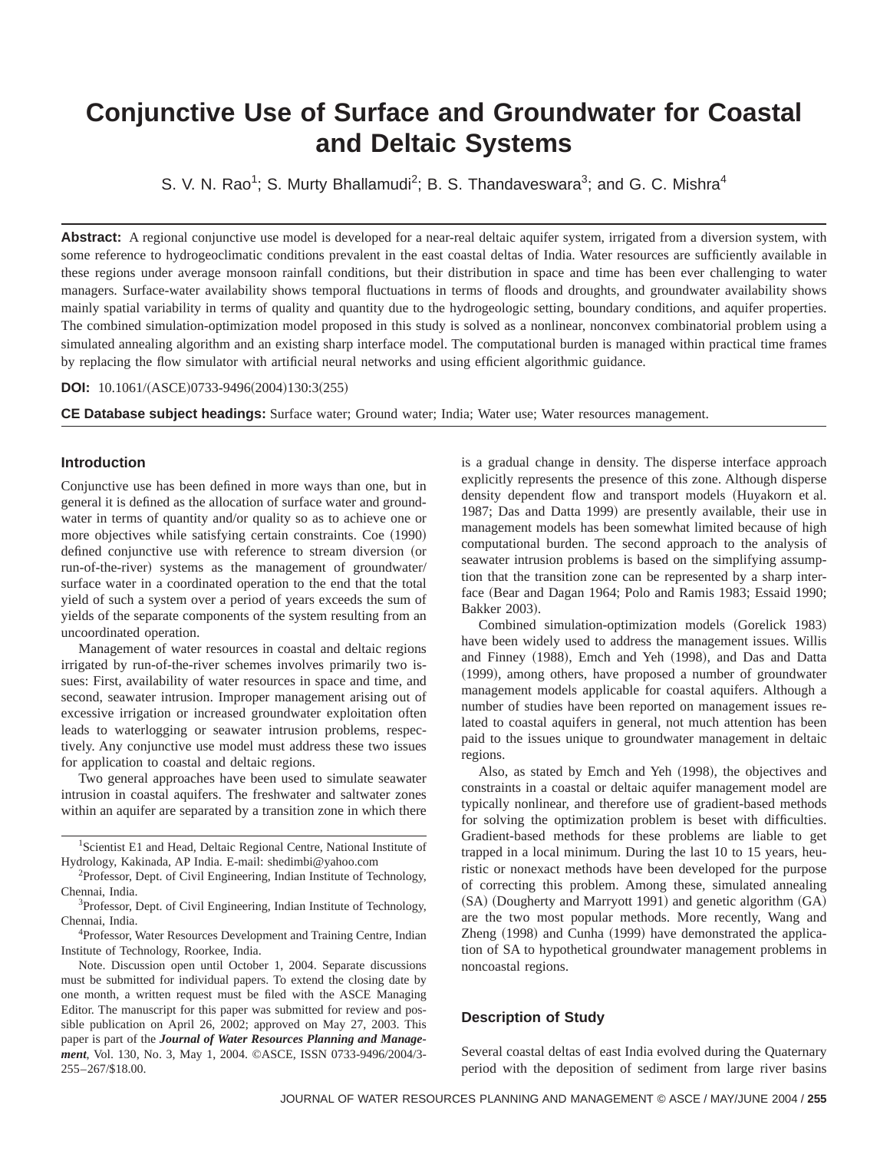# **Conjunctive Use of Surface and Groundwater for Coastal and Deltaic Systems**

S. V. N. Rao<sup>1</sup>; S. Murty Bhallamudi<sup>2</sup>; B. S. Thandaveswara<sup>3</sup>; and G. C. Mishra<sup>4</sup>

Abstract: A regional conjunctive use model is developed for a near-real deltaic aquifer system, irrigated from a diversion system, with some reference to hydrogeoclimatic conditions prevalent in the east coastal deltas of India. Water resources are sufficiently available in these regions under average monsoon rainfall conditions, but their distribution in space and time has been ever challenging to water managers. Surface-water availability shows temporal fluctuations in terms of floods and droughts, and groundwater availability shows mainly spatial variability in terms of quality and quantity due to the hydrogeologic setting, boundary conditions, and aquifer properties. The combined simulation-optimization model proposed in this study is solved as a nonlinear, nonconvex combinatorial problem using a simulated annealing algorithm and an existing sharp interface model. The computational burden is managed within practical time frames by replacing the flow simulator with artificial neural networks and using efficient algorithmic guidance.

#### **DOI:** 10.1061/(ASCE)0733-9496(2004)130:3(255)

**CE Database subject headings:** Surface water; Ground water; India; Water use; Water resources management.

#### **Introduction**

Conjunctive use has been defined in more ways than one, but in general it is defined as the allocation of surface water and groundwater in terms of quantity and/or quality so as to achieve one or more objectives while satisfying certain constraints. Coe (1990) defined conjunctive use with reference to stream diversion (or run-of-the-river) systems as the management of groundwater/ surface water in a coordinated operation to the end that the total yield of such a system over a period of years exceeds the sum of yields of the separate components of the system resulting from an uncoordinated operation.

Management of water resources in coastal and deltaic regions irrigated by run-of-the-river schemes involves primarily two issues: First, availability of water resources in space and time, and second, seawater intrusion. Improper management arising out of excessive irrigation or increased groundwater exploitation often leads to waterlogging or seawater intrusion problems, respectively. Any conjunctive use model must address these two issues for application to coastal and deltaic regions.

Two general approaches have been used to simulate seawater intrusion in coastal aquifers. The freshwater and saltwater zones within an aquifer are separated by a transition zone in which there

<sup>4</sup>Professor, Water Resources Development and Training Centre, Indian Institute of Technology, Roorkee, India.

Note. Discussion open until October 1, 2004. Separate discussions must be submitted for individual papers. To extend the closing date by one month, a written request must be filed with the ASCE Managing Editor. The manuscript for this paper was submitted for review and possible publication on April 26, 2002; approved on May 27, 2003. This paper is part of the *Journal of Water Resources Planning and Management*, Vol. 130, No. 3, May 1, 2004. ©ASCE, ISSN 0733-9496/2004/3- 255–267/\$18.00.

is a gradual change in density. The disperse interface approach explicitly represents the presence of this zone. Although disperse density dependent flow and transport models (Huyakorn et al. 1987; Das and Datta 1999) are presently available, their use in management models has been somewhat limited because of high computational burden. The second approach to the analysis of seawater intrusion problems is based on the simplifying assumption that the transition zone can be represented by a sharp interface (Bear and Dagan 1964; Polo and Ramis 1983; Essaid 1990; Bakker 2003).

Combined simulation-optimization models (Gorelick 1983) have been widely used to address the management issues. Willis and Finney (1988), Emch and Yeh (1998), and Das and Datta (1999), among others, have proposed a number of groundwater management models applicable for coastal aquifers. Although a number of studies have been reported on management issues related to coastal aquifers in general, not much attention has been paid to the issues unique to groundwater management in deltaic regions.

Also, as stated by Emch and Yeh (1998), the objectives and constraints in a coastal or deltaic aquifer management model are typically nonlinear, and therefore use of gradient-based methods for solving the optimization problem is beset with difficulties. Gradient-based methods for these problems are liable to get trapped in a local minimum. During the last 10 to 15 years, heuristic or nonexact methods have been developed for the purpose of correcting this problem. Among these, simulated annealing  $(SA)$  (Dougherty and Marryott 1991) and genetic algorithm  $(GA)$ are the two most popular methods. More recently, Wang and Zheng (1998) and Cunha (1999) have demonstrated the application of SA to hypothetical groundwater management problems in noncoastal regions.

## **Description of Study**

Several coastal deltas of east India evolved during the Quaternary period with the deposition of sediment from large river basins

<sup>&</sup>lt;sup>1</sup>Scientist E1 and Head, Deltaic Regional Centre, National Institute of Hydrology, Kakinada, AP India. E-mail: shedimbi@yahoo.com

<sup>&</sup>lt;sup>2</sup>Professor, Dept. of Civil Engineering, Indian Institute of Technology, Chennai, India.

<sup>&</sup>lt;sup>3</sup>Professor, Dept. of Civil Engineering, Indian Institute of Technology, Chennai, India.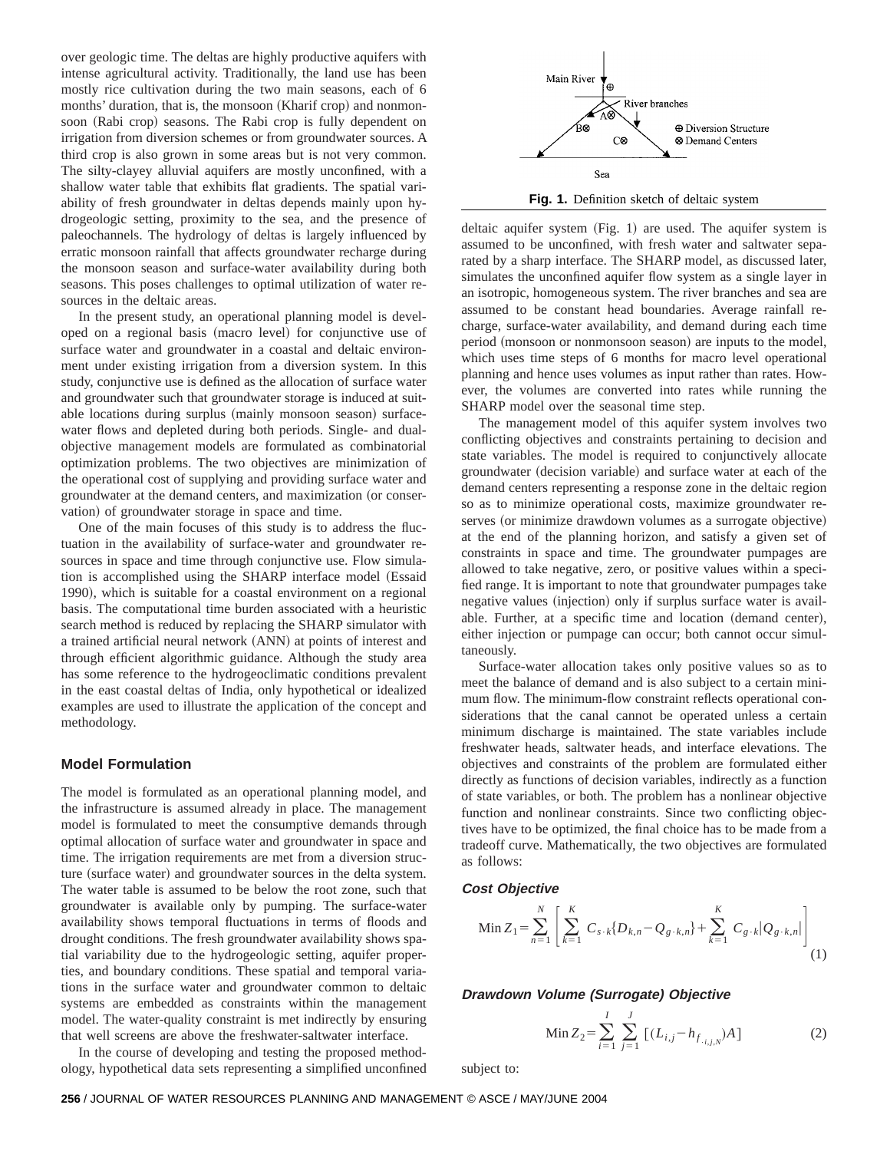over geologic time. The deltas are highly productive aquifers with intense agricultural activity. Traditionally, the land use has been mostly rice cultivation during the two main seasons, each of 6 months' duration, that is, the monsoon (Kharif crop) and nonmonsoon (Rabi crop) seasons. The Rabi crop is fully dependent on irrigation from diversion schemes or from groundwater sources. A third crop is also grown in some areas but is not very common. The silty-clayey alluvial aquifers are mostly unconfined, with a shallow water table that exhibits flat gradients. The spatial variability of fresh groundwater in deltas depends mainly upon hydrogeologic setting, proximity to the sea, and the presence of paleochannels. The hydrology of deltas is largely influenced by erratic monsoon rainfall that affects groundwater recharge during the monsoon season and surface-water availability during both seasons. This poses challenges to optimal utilization of water resources in the deltaic areas.

In the present study, an operational planning model is developed on a regional basis (macro level) for conjunctive use of surface water and groundwater in a coastal and deltaic environment under existing irrigation from a diversion system. In this study, conjunctive use is defined as the allocation of surface water and groundwater such that groundwater storage is induced at suitable locations during surplus (mainly monsoon season) surfacewater flows and depleted during both periods. Single- and dualobjective management models are formulated as combinatorial optimization problems. The two objectives are minimization of the operational cost of supplying and providing surface water and groundwater at the demand centers, and maximization (or conservation) of groundwater storage in space and time.

One of the main focuses of this study is to address the fluctuation in the availability of surface-water and groundwater resources in space and time through conjunctive use. Flow simulation is accomplished using the SHARP interface model (Essaid 1990), which is suitable for a coastal environment on a regional basis. The computational time burden associated with a heuristic search method is reduced by replacing the SHARP simulator with a trained artificial neural network (ANN) at points of interest and through efficient algorithmic guidance. Although the study area has some reference to the hydrogeoclimatic conditions prevalent in the east coastal deltas of India, only hypothetical or idealized examples are used to illustrate the application of the concept and methodology.

#### **Model Formulation**

The model is formulated as an operational planning model, and the infrastructure is assumed already in place. The management model is formulated to meet the consumptive demands through optimal allocation of surface water and groundwater in space and time. The irrigation requirements are met from a diversion structure (surface water) and groundwater sources in the delta system. The water table is assumed to be below the root zone, such that groundwater is available only by pumping. The surface-water availability shows temporal fluctuations in terms of floods and drought conditions. The fresh groundwater availability shows spatial variability due to the hydrogeologic setting, aquifer properties, and boundary conditions. These spatial and temporal variations in the surface water and groundwater common to deltaic systems are embedded as constraints within the management model. The water-quality constraint is met indirectly by ensuring that well screens are above the freshwater-saltwater interface.

In the course of developing and testing the proposed methodology, hypothetical data sets representing a simplified unconfined



deltaic aquifer system  $(Fig. 1)$  are used. The aquifer system is assumed to be unconfined, with fresh water and saltwater separated by a sharp interface. The SHARP model, as discussed later, simulates the unconfined aquifer flow system as a single layer in an isotropic, homogeneous system. The river branches and sea are assumed to be constant head boundaries. Average rainfall recharge, surface-water availability, and demand during each time period (monsoon or nonmonsoon season) are inputs to the model, which uses time steps of 6 months for macro level operational planning and hence uses volumes as input rather than rates. However, the volumes are converted into rates while running the SHARP model over the seasonal time step.

The management model of this aquifer system involves two conflicting objectives and constraints pertaining to decision and state variables. The model is required to conjunctively allocate groundwater (decision variable) and surface water at each of the demand centers representing a response zone in the deltaic region so as to minimize operational costs, maximize groundwater reserves (or minimize drawdown volumes as a surrogate objective) at the end of the planning horizon, and satisfy a given set of constraints in space and time. The groundwater pumpages are allowed to take negative, zero, or positive values within a specified range. It is important to note that groundwater pumpages take negative values (injection) only if surplus surface water is available. Further, at a specific time and location (demand center), either injection or pumpage can occur; both cannot occur simultaneously.

Surface-water allocation takes only positive values so as to meet the balance of demand and is also subject to a certain minimum flow. The minimum-flow constraint reflects operational considerations that the canal cannot be operated unless a certain minimum discharge is maintained. The state variables include freshwater heads, saltwater heads, and interface elevations. The objectives and constraints of the problem are formulated either directly as functions of decision variables, indirectly as a function of state variables, or both. The problem has a nonlinear objective function and nonlinear constraints. Since two conflicting objectives have to be optimized, the final choice has to be made from a tradeoff curve. Mathematically, the two objectives are formulated as follows:

#### **Cost Objective**

Min 
$$
Z_1 = \sum_{n=1}^{N} \left[ \sum_{k=1}^{K} C_{s \cdot k} \{D_{k,n} - Q_{g \cdot k,n}\} + \sum_{k=1}^{K} C_{g \cdot k} |Q_{g \cdot k,n}| \right]
$$
 (1)

#### **Drawdown Volume (Surrogate) Objective**

Min 
$$
Z_2 = \sum_{i=1}^{I} \sum_{j=1}^{J} [(L_{i,j} - h_{f_{i,j,N}})A]
$$
 (2)

subject to: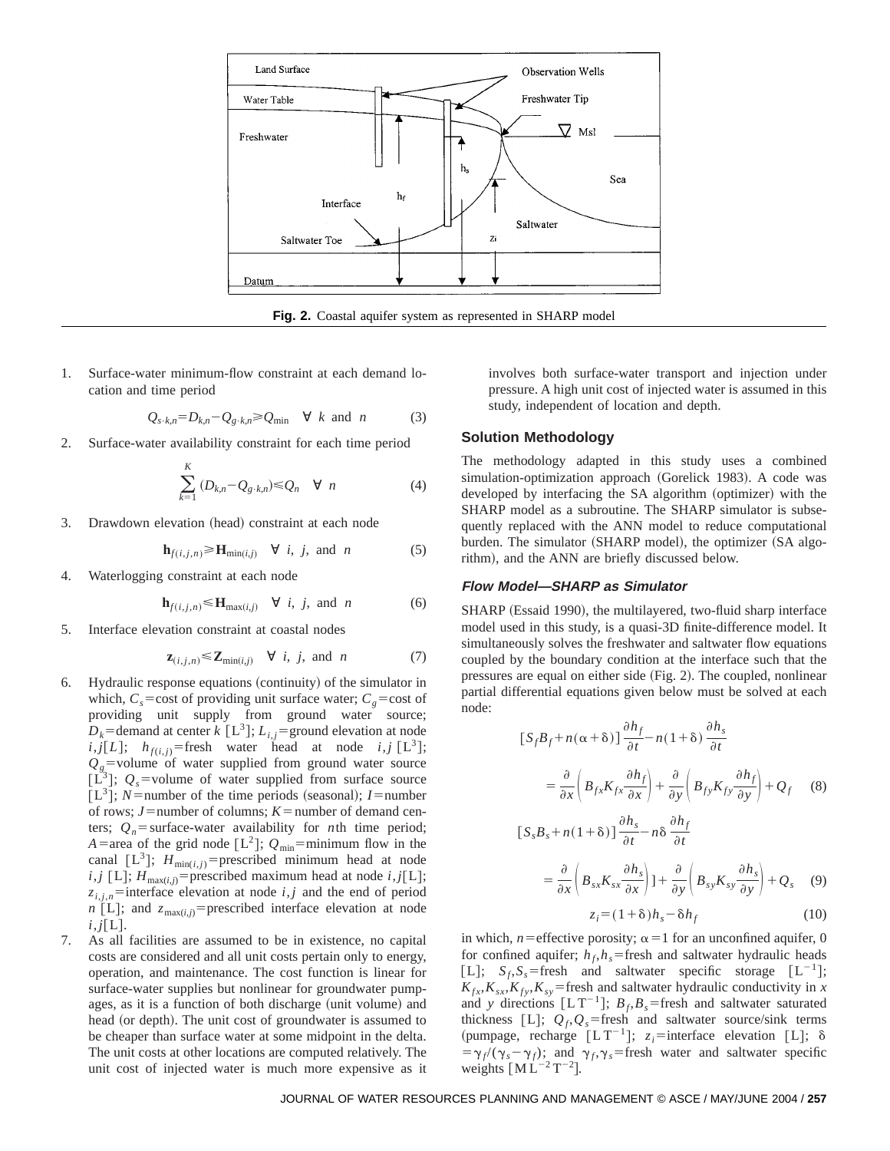

**Fig. 2.** Coastal aquifer system as represented in SHARP model

1. Surface-water minimum-flow constraint at each demand location and time period

$$
Q_{s \cdot k,n} = D_{k,n} - Q_{g \cdot k,n} \geq Q_{\min} \quad \forall \quad k \quad \text{and} \quad n \tag{3}
$$

2. Surface-water availability constraint for each time period

$$
\sum_{k=1}^{K} (D_{k,n} - Q_{g \cdot k,n}) \leq Q_n \quad \forall \; n \tag{4}
$$

3. Drawdown elevation (head) constraint at each node

$$
\mathbf{h}_{f(i,j,n)} \geq \mathbf{H}_{\min(i,j)} \quad \forall \quad i, \quad j, \quad \text{and} \quad n \tag{5}
$$

4. Waterlogging constraint at each node

$$
\mathbf{h}_{f(i,j,n)} \leq \mathbf{H}_{\text{max}(i,j)} \quad \forall \quad i, \quad j, \quad \text{and} \quad n \tag{6}
$$

5. Interface elevation constraint at coastal nodes

$$
\mathbf{z}_{(i,j,n)} \leq \mathbf{Z}_{\min(i,j)} \quad \forall \quad i, \quad j, \quad \text{and} \quad n \tag{7}
$$

- 6. Hydraulic response equations (continuity) of the simulator in which,  $C_s$ =cost of providing unit surface water;  $C_g$ =cost of providing unit supply from ground water source;  $D_k$ =demand at center *k* [L<sup>3</sup>];  $L_{i,j}$ =ground elevation at node  $i$ , *j*[*L*];  $h_{f(i,j)}$ =fresh water head at node *i*, *j*[*L*<sup>3</sup>];  $Q_g$ =volume of water supplied from ground water source  $[L<sup>3</sup>]$ ;  $Q<sub>s</sub>$ =volume of water supplied from surface source [ $L^3$ ]; *N*=number of the time periods (seasonal); *I*=number of rows;  $J$ =number of columns;  $K$ =number of demand centers;  $Q_n$ = surface-water availability for *n*th time period; *A*=area of the grid node [L<sup>2</sup>];  $Q_{min}$ =minimum flow in the canal  $[L^3]$ ;  $H_{min(i,j)}$ =prescribed minimum head at node  $i$ , *j* [L];  $H_{\text{max}(i,j)}$ =prescribed maximum head at node  $i$ , *j*[L];  $z_{i,j,n}$ =interface elevation at node *i*, *j* and the end of period *n* [L]; and  $z_{\text{max}(i,j)}$ =prescribed interface elevation at node  $i$ , $j[L]$ .
- 7. As all facilities are assumed to be in existence, no capital costs are considered and all unit costs pertain only to energy, operation, and maintenance. The cost function is linear for surface-water supplies but nonlinear for groundwater pumpages, as it is a function of both discharge (unit volume) and head (or depth). The unit cost of groundwater is assumed to be cheaper than surface water at some midpoint in the delta. The unit costs at other locations are computed relatively. The unit cost of injected water is much more expensive as it

involves both surface-water transport and injection under pressure. A high unit cost of injected water is assumed in this study, independent of location and depth.

#### **Solution Methodology**

The methodology adapted in this study uses a combined simulation-optimization approach (Gorelick 1983). A code was developed by interfacing the SA algorithm (optimizer) with the SHARP model as a subroutine. The SHARP simulator is subsequently replaced with the ANN model to reduce computational burden. The simulator (SHARP model), the optimizer (SA algorithm), and the ANN are briefly discussed below.

#### **Flow Model—SHARP as Simulator**

SHARP (Essaid 1990), the multilayered, two-fluid sharp interface model used in this study, is a quasi-3D finite-difference model. It simultaneously solves the freshwater and saltwater flow equations coupled by the boundary condition at the interface such that the pressures are equal on either side (Fig. 2). The coupled, nonlinear partial differential equations given below must be solved at each node:

$$
[S_f B_f + n(\alpha + \delta)] \frac{\partial h_f}{\partial t} - n(1 + \delta) \frac{\partial h_s}{\partial t}
$$
  
=  $\frac{\partial}{\partial x} \left( B_{fx} K_{fx} \frac{\partial h_f}{\partial x} \right) + \frac{\partial}{\partial y} \left( B_{fy} K_{fy} \frac{\partial h_f}{\partial y} \right) + Q_f$  (8)

$$
[S_{s}B_{s} + n(1+\delta)] \frac{\partial h_{s}}{\partial t} - n\delta \frac{\partial h_{f}}{\partial t}
$$

$$
= \frac{\partial}{\partial x} \left( B_{sx} K_{sx} \frac{\partial h_s}{\partial x} \right) \left( 1 + \frac{\partial}{\partial y} \left( B_{sy} K_{sy} \frac{\partial h_s}{\partial y} \right) + Q_s \right)
$$
 (9)

$$
z_i = (1 + \delta)h_s - \delta h_f \tag{10}
$$

in which, *n*=effective porosity;  $\alpha = 1$  for an unconfined aquifer, 0 for confined aquifer;  $h_f$ ,  $h_s$ =fresh and saltwater hydraulic heads [L];  $S_f$ ,  $S_s$  = fresh and saltwater specific storage  $[L^{-1}]$ ;  $K_{fx}$ , $K_{sx}$ , $K_{fy}$ , $K_{sy}$ =fresh and saltwater hydraulic conductivity in *x* and *y* directions  $[L T^{-1}]$ ;  $B_f$ ,  $B_s$  = fresh and saltwater saturated thickness [L];  $Q_f$ ,  $Q_s$ =fresh and saltwater source/sink terms (pumpage, recharge  $[L T^{-1}]$ ;  $z_i$ =interface elevation [L];  $\delta$  $=\gamma_f/(\gamma_s-\gamma_f)$ ; and  $\gamma_f, \gamma_s$ =fresh water and saltwater specific weights  $[M L^{-2} T^{-2}].$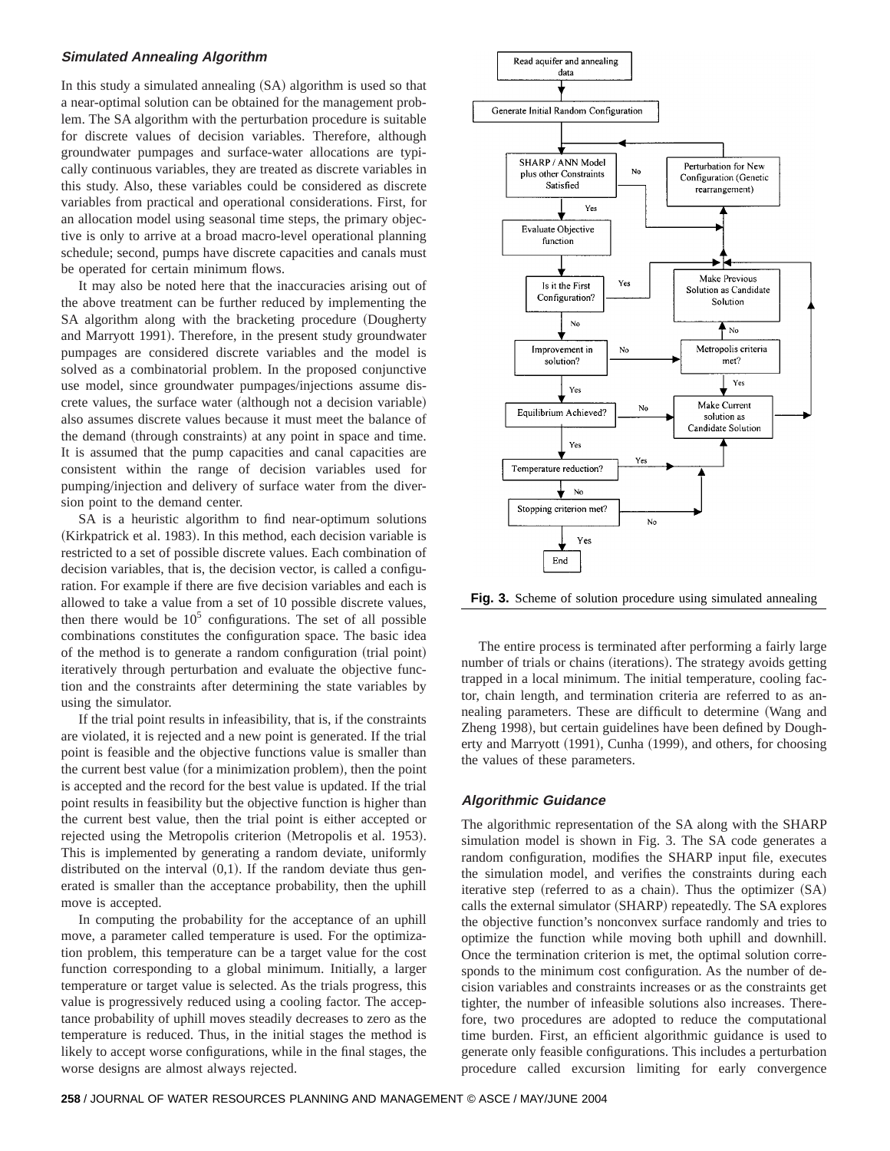#### **Simulated Annealing Algorithm**

In this study a simulated annealing  $(SA)$  algorithm is used so that a near-optimal solution can be obtained for the management problem. The SA algorithm with the perturbation procedure is suitable for discrete values of decision variables. Therefore, although groundwater pumpages and surface-water allocations are typically continuous variables, they are treated as discrete variables in this study. Also, these variables could be considered as discrete variables from practical and operational considerations. First, for an allocation model using seasonal time steps, the primary objective is only to arrive at a broad macro-level operational planning schedule; second, pumps have discrete capacities and canals must be operated for certain minimum flows.

It may also be noted here that the inaccuracies arising out of the above treatment can be further reduced by implementing the SA algorithm along with the bracketing procedure (Dougherty and Marryott 1991). Therefore, in the present study groundwater pumpages are considered discrete variables and the model is solved as a combinatorial problem. In the proposed conjunctive use model, since groundwater pumpages/injections assume discrete values, the surface water (although not a decision variable) also assumes discrete values because it must meet the balance of the demand (through constraints) at any point in space and time. It is assumed that the pump capacities and canal capacities are consistent within the range of decision variables used for pumping/injection and delivery of surface water from the diversion point to the demand center.

SA is a heuristic algorithm to find near-optimum solutions (Kirkpatrick et al. 1983). In this method, each decision variable is restricted to a set of possible discrete values. Each combination of decision variables, that is, the decision vector, is called a configuration. For example if there are five decision variables and each is allowed to take a value from a set of 10 possible discrete values, then there would be  $10<sup>5</sup>$  configurations. The set of all possible combinations constitutes the configuration space. The basic idea of the method is to generate a random configuration (trial point) iteratively through perturbation and evaluate the objective function and the constraints after determining the state variables by using the simulator.

If the trial point results in infeasibility, that is, if the constraints are violated, it is rejected and a new point is generated. If the trial point is feasible and the objective functions value is smaller than the current best value (for a minimization problem), then the point is accepted and the record for the best value is updated. If the trial point results in feasibility but the objective function is higher than the current best value, then the trial point is either accepted or rejected using the Metropolis criterion (Metropolis et al. 1953). This is implemented by generating a random deviate, uniformly distributed on the interval  $(0,1)$ . If the random deviate thus generated is smaller than the acceptance probability, then the uphill move is accepted.

In computing the probability for the acceptance of an uphill move, a parameter called temperature is used. For the optimization problem, this temperature can be a target value for the cost function corresponding to a global minimum. Initially, a larger temperature or target value is selected. As the trials progress, this value is progressively reduced using a cooling factor. The acceptance probability of uphill moves steadily decreases to zero as the temperature is reduced. Thus, in the initial stages the method is likely to accept worse configurations, while in the final stages, the worse designs are almost always rejected.



**Fig. 3.** Scheme of solution procedure using simulated annealing

The entire process is terminated after performing a fairly large number of trials or chains (iterations). The strategy avoids getting trapped in a local minimum. The initial temperature, cooling factor, chain length, and termination criteria are referred to as annealing parameters. These are difficult to determine (Wang and Zheng 1998), but certain guidelines have been defined by Dougherty and Marryott (1991), Cunha (1999), and others, for choosing the values of these parameters.

#### **Algorithmic Guidance**

The algorithmic representation of the SA along with the SHARP simulation model is shown in Fig. 3. The SA code generates a random configuration, modifies the SHARP input file, executes the simulation model, and verifies the constraints during each iterative step (referred to as a chain). Thus the optimizer  $(SA)$ calls the external simulator (SHARP) repeatedly. The SA explores the objective function's nonconvex surface randomly and tries to optimize the function while moving both uphill and downhill. Once the termination criterion is met, the optimal solution corresponds to the minimum cost configuration. As the number of decision variables and constraints increases or as the constraints get tighter, the number of infeasible solutions also increases. Therefore, two procedures are adopted to reduce the computational time burden. First, an efficient algorithmic guidance is used to generate only feasible configurations. This includes a perturbation procedure called excursion limiting for early convergence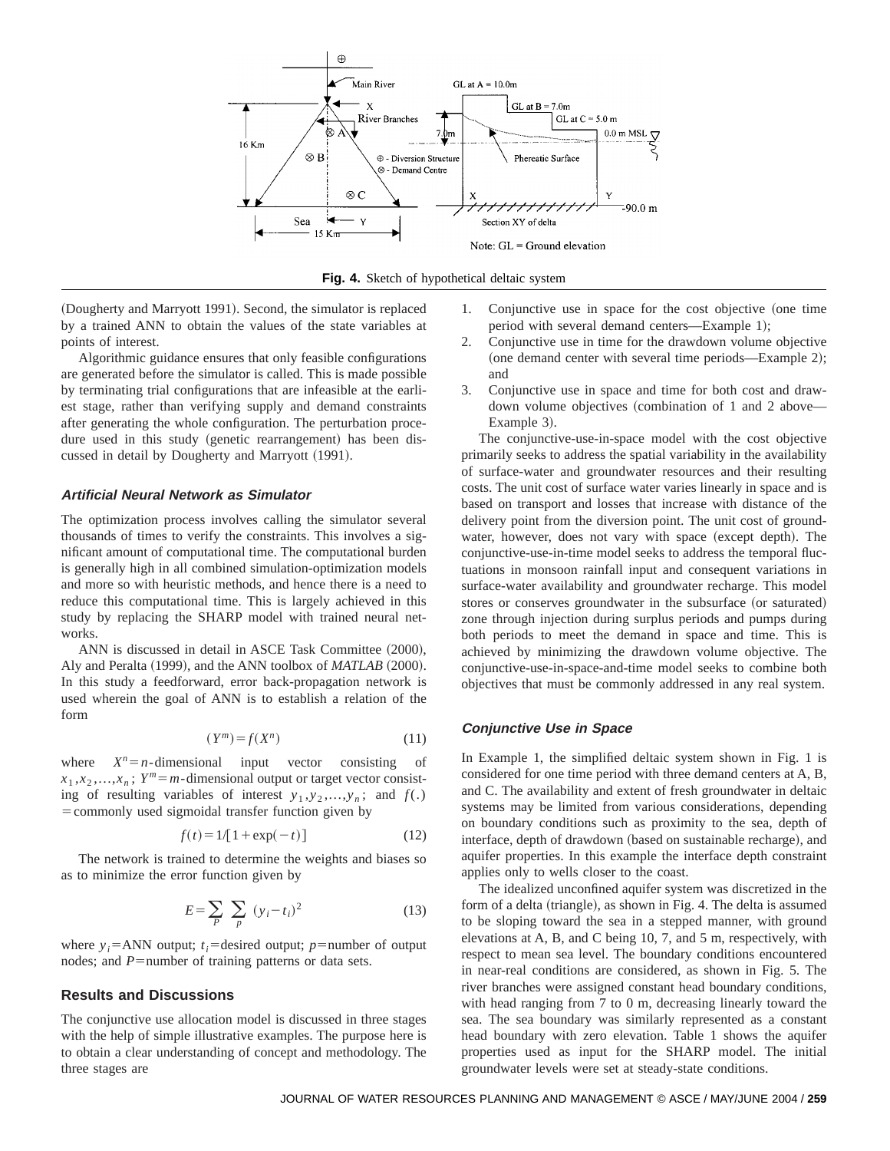

**Fig. 4.** Sketch of hypothetical deltaic system

(Dougherty and Marryott 1991). Second, the simulator is replaced by a trained ANN to obtain the values of the state variables at points of interest.

Algorithmic guidance ensures that only feasible configurations are generated before the simulator is called. This is made possible by terminating trial configurations that are infeasible at the earliest stage, rather than verifying supply and demand constraints after generating the whole configuration. The perturbation procedure used in this study (genetic rearrangement) has been discussed in detail by Dougherty and Marryott (1991).

#### **Artificial Neural Network as Simulator**

The optimization process involves calling the simulator several thousands of times to verify the constraints. This involves a significant amount of computational time. The computational burden is generally high in all combined simulation-optimization models and more so with heuristic methods, and hence there is a need to reduce this computational time. This is largely achieved in this study by replacing the SHARP model with trained neural networks.

ANN is discussed in detail in ASCE Task Committee (2000), Aly and Peralta (1999), and the ANN toolbox of *MATLAB* (2000). In this study a feedforward, error back-propagation network is used wherein the goal of ANN is to establish a relation of the form

$$
(Y^m) = f(X^n) \tag{11}
$$

where  $X^n = n$ -dimensional input vector consisting of  $x_1, x_2, \ldots, x_n$ ;  $Y^m = m$ -dimensional output or target vector consisting of resulting variables of interest  $y_1, y_2, \ldots, y_n$ ; and  $f(.)$  $=$  commonly used sigmoidal transfer function given by

$$
f(t) = 1/[1 + \exp(-t)]
$$
 (12)

The network is trained to determine the weights and biases so as to minimize the error function given by

$$
E = \sum_{P} \sum_{p} (y_i - t_i)^2
$$
 (13)

where  $y_i$ =ANN output;  $t_i$ =desired output; *p*=number of output nodes; and *P*=number of training patterns or data sets.

### **Results and Discussions**

The conjunctive use allocation model is discussed in three stages with the help of simple illustrative examples. The purpose here is to obtain a clear understanding of concept and methodology. The three stages are

- 1. Conjunctive use in space for the cost objective (one time period with several demand centers—Example 1);
- 2. Conjunctive use in time for the drawdown volume objective (one demand center with several time periods—Example 2); and
- 3. Conjunctive use in space and time for both cost and drawdown volume objectives (combination of 1 and 2 above— Example 3).

The conjunctive-use-in-space model with the cost objective primarily seeks to address the spatial variability in the availability of surface-water and groundwater resources and their resulting costs. The unit cost of surface water varies linearly in space and is based on transport and losses that increase with distance of the delivery point from the diversion point. The unit cost of groundwater, however, does not vary with space (except depth). The conjunctive-use-in-time model seeks to address the temporal fluctuations in monsoon rainfall input and consequent variations in surface-water availability and groundwater recharge. This model stores or conserves groundwater in the subsurface (or saturated) zone through injection during surplus periods and pumps during both periods to meet the demand in space and time. This is achieved by minimizing the drawdown volume objective. The conjunctive-use-in-space-and-time model seeks to combine both objectives that must be commonly addressed in any real system.

#### **Conjunctive Use in Space**

In Example 1, the simplified deltaic system shown in Fig. 1 is considered for one time period with three demand centers at A, B, and C. The availability and extent of fresh groundwater in deltaic systems may be limited from various considerations, depending on boundary conditions such as proximity to the sea, depth of interface, depth of drawdown (based on sustainable recharge), and aquifer properties. In this example the interface depth constraint applies only to wells closer to the coast.

The idealized unconfined aquifer system was discretized in the form of a delta (triangle), as shown in Fig. 4. The delta is assumed to be sloping toward the sea in a stepped manner, with ground elevations at A, B, and C being 10, 7, and 5 m, respectively, with respect to mean sea level. The boundary conditions encountered in near-real conditions are considered, as shown in Fig. 5. The river branches were assigned constant head boundary conditions, with head ranging from 7 to 0 m, decreasing linearly toward the sea. The sea boundary was similarly represented as a constant head boundary with zero elevation. Table 1 shows the aquifer properties used as input for the SHARP model. The initial groundwater levels were set at steady-state conditions.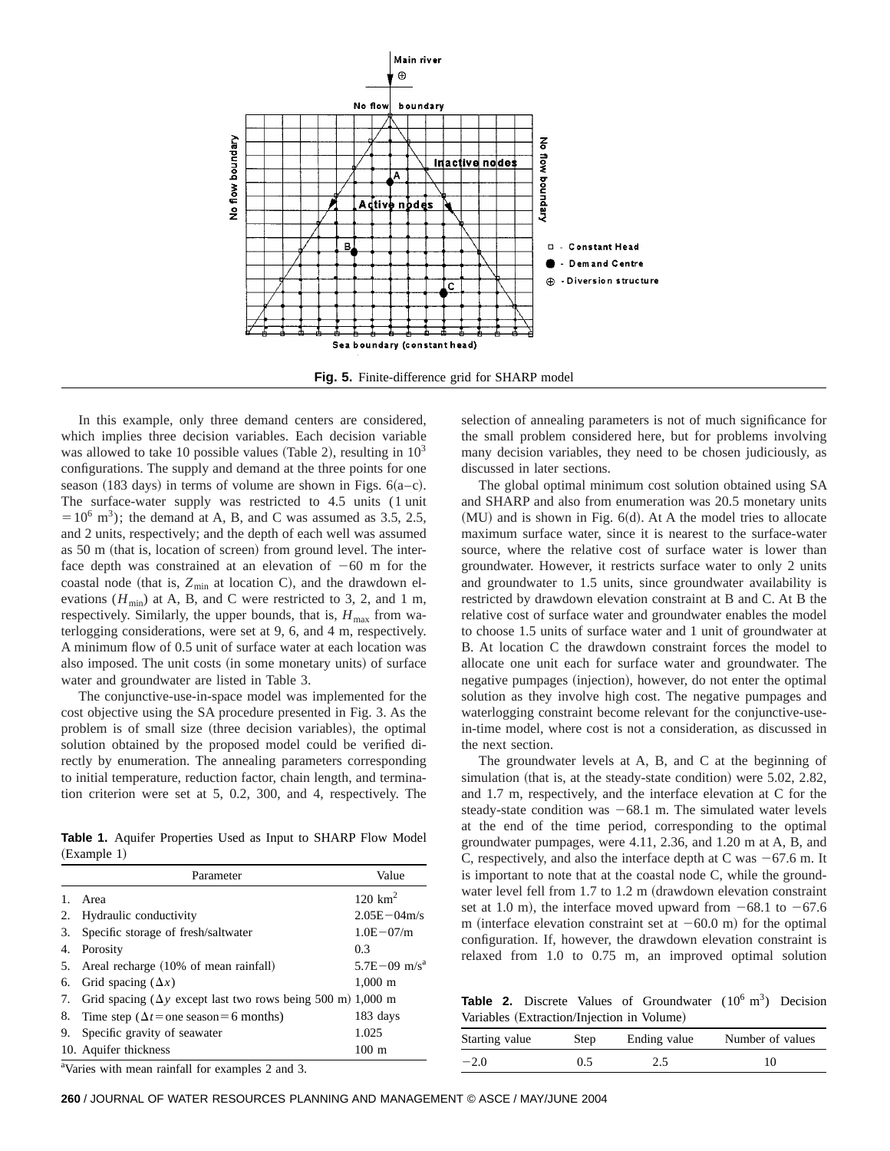

**Fig. 5.** Finite-difference grid for SHARP model

In this example, only three demand centers are considered, which implies three decision variables. Each decision variable was allowed to take 10 possible values (Table 2), resulting in  $10<sup>3</sup>$ configurations. The supply and demand at the three points for one season (183 days) in terms of volume are shown in Figs.  $6(a-c)$ . The surface-water supply was restricted to 4.5 units (1 unit  $=10^6$  m<sup>3</sup>); the demand at A, B, and C was assumed as 3.5, 2.5, and 2 units, respectively; and the depth of each well was assumed as 50 m (that is, location of screen) from ground level. The interface depth was constrained at an elevation of  $-60$  m for the coastal node (that is,  $Z_{\text{min}}$  at location C), and the drawdown elevations  $(H_{\min})$  at A, B, and C were restricted to 3, 2, and 1 m, respectively. Similarly, the upper bounds, that is,  $H_{\text{max}}$  from waterlogging considerations, were set at 9, 6, and 4 m, respectively. A minimum flow of 0.5 unit of surface water at each location was also imposed. The unit costs (in some monetary units) of surface water and groundwater are listed in Table 3.

The conjunctive-use-in-space model was implemented for the cost objective using the SA procedure presented in Fig. 3. As the problem is of small size (three decision variables), the optimal solution obtained by the proposed model could be verified directly by enumeration. The annealing parameters corresponding to initial temperature, reduction factor, chain length, and termination criterion were set at 5, 0.2, 300, and 4, respectively. The

**Table 1.** Aquifer Properties Used as Input to SHARP Flow Model  $(Example 1)$ 

|                | Parameter                                                              | Value                        |
|----------------|------------------------------------------------------------------------|------------------------------|
| $\mathbf{1}$ . | Area                                                                   | $120 \text{ km}^2$           |
|                | 2. Hydraulic conductivity                                              | $2.05E - 04m/s$              |
|                | 3. Specific storage of fresh/saltwater                                 | $1.0E - 07/m$                |
| 4.             | Porosity                                                               | 0.3                          |
|                | 5. Areal recharge (10% of mean rainfall)                               | $5.7E - 09$ m/s <sup>a</sup> |
|                | 6. Grid spacing $(\Delta x)$                                           | $1,000 \; \mathrm{m}$        |
|                | 7. Grid spacing ( $\Delta y$ except last two rows being 500 m) 1,000 m |                              |
| 8.             | Time step ( $\Delta t$ = one season = 6 months)                        | 183 days                     |
|                | 9. Specific gravity of seawater                                        | 1.025                        |
|                | 10. Aquifer thickness                                                  | $100 \text{ m}$              |

selection of annealing parameters is not of much significance for the small problem considered here, but for problems involving many decision variables, they need to be chosen judiciously, as discussed in later sections.

The global optimal minimum cost solution obtained using SA and SHARP and also from enumeration was 20.5 monetary units  $(MU)$  and is shown in Fig.  $6(d)$ . At A the model tries to allocate maximum surface water, since it is nearest to the surface-water source, where the relative cost of surface water is lower than groundwater. However, it restricts surface water to only 2 units and groundwater to 1.5 units, since groundwater availability is restricted by drawdown elevation constraint at B and C. At B the relative cost of surface water and groundwater enables the model to choose 1.5 units of surface water and 1 unit of groundwater at B. At location C the drawdown constraint forces the model to allocate one unit each for surface water and groundwater. The negative pumpages (injection), however, do not enter the optimal solution as they involve high cost. The negative pumpages and waterlogging constraint become relevant for the conjunctive-usein-time model, where cost is not a consideration, as discussed in the next section.

The groundwater levels at A, B, and C at the beginning of simulation (that is, at the steady-state condition) were  $5.02, 2.82$ , and 1.7 m, respectively, and the interface elevation at C for the steady-state condition was  $-68.1$  m. The simulated water levels at the end of the time period, corresponding to the optimal groundwater pumpages, were 4.11, 2.36, and 1.20 m at A, B, and C, respectively, and also the interface depth at C was  $-67.6$  m. It is important to note that at the coastal node C, while the groundwater level fell from  $1.7$  to  $1.2$  m (drawdown elevation constraint set at 1.0 m), the interface moved upward from  $-68.1$  to  $-67.6$ m (interface elevation constraint set at  $-60.0$  m) for the optimal configuration. If, however, the drawdown elevation constraint is relaxed from 1.0 to 0.75 m, an improved optimal solution

**Table 2.** Discrete Values of Groundwater (10<sup>6</sup> m<sup>3</sup>) Decision Variables (Extraction/Injection in Volume)

| Starting value | Step | Ending value | Number of values |
|----------------|------|--------------|------------------|
| $-2.0$         | 0.5  | 2.5          | 10               |

<sup>a</sup>Varies with mean rainfall for examples 2 and 3.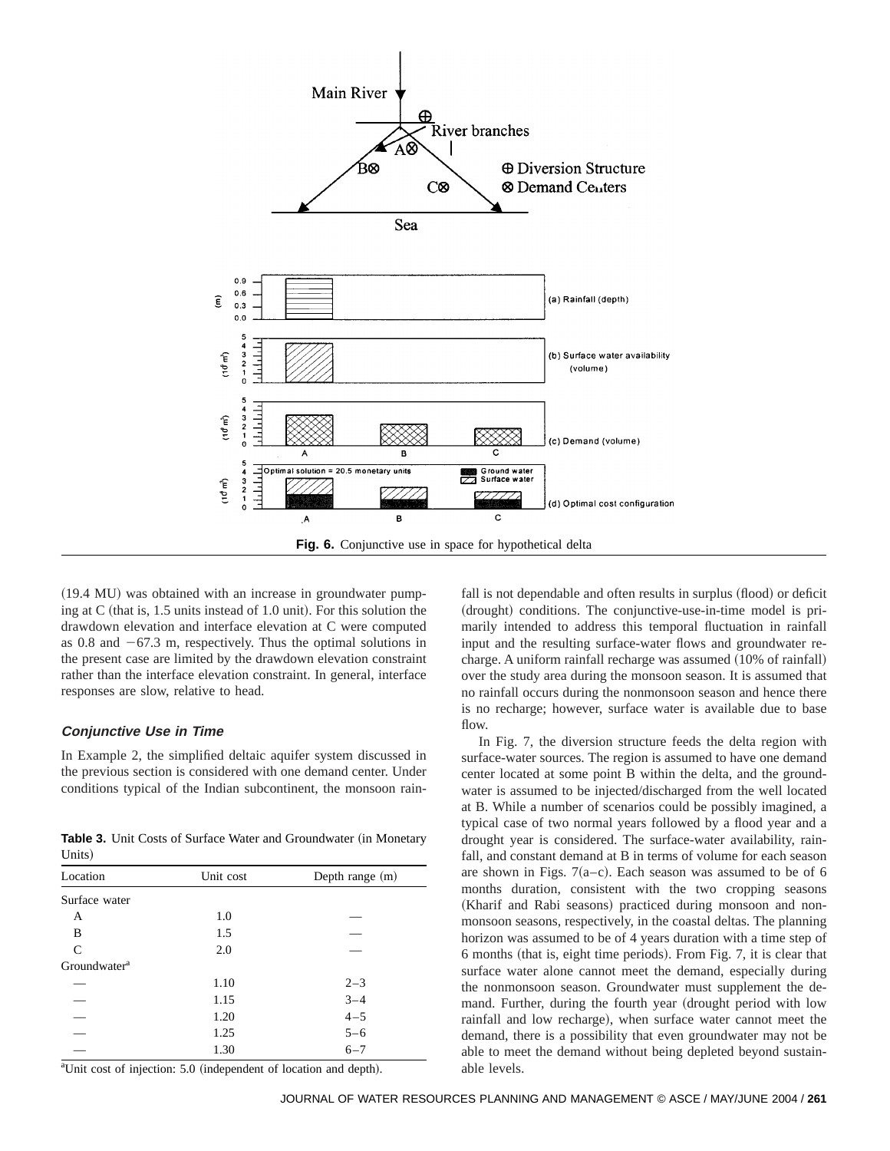

 $(19.4 \text{ MU})$  was obtained with an increase in groundwater pumping at  $C$  (that is, 1.5 units instead of 1.0 unit). For this solution the drawdown elevation and interface elevation at C were computed as 0.8 and  $-67.3$  m, respectively. Thus the optimal solutions in the present case are limited by the drawdown elevation constraint rather than the interface elevation constraint. In general, interface responses are slow, relative to head.

#### **Conjunctive Use in Time**

In Example 2, the simplified deltaic aquifer system discussed in the previous section is considered with one demand center. Under conditions typical of the Indian subcontinent, the monsoon rain-

Table 3. Unit Costs of Surface Water and Groundwater (in Monetary Units)

| Location                 | Unit cost | Depth range (m) |
|--------------------------|-----------|-----------------|
| Surface water            |           |                 |
| A                        | 1.0       |                 |
| B                        | 1.5       |                 |
| $\mathcal{C}$            | 2.0       |                 |
| Groundwater <sup>a</sup> |           |                 |
|                          | 1.10      | $2 - 3$         |
|                          | 1.15      | $3 - 4$         |
|                          | 1.20      | $4 - 5$         |
|                          | 1.25      | $5 - 6$         |
|                          | 1.30      | $6 - 7$         |
|                          |           |                 |

<sup>a</sup>Unit cost of injection: 5.0 (independent of location and depth).

fall is not dependable and often results in surplus (flood) or deficit (drought) conditions. The conjunctive-use-in-time model is primarily intended to address this temporal fluctuation in rainfall input and the resulting surface-water flows and groundwater recharge. A uniform rainfall recharge was assumed  $(10\% \text{ of rainfall})$ over the study area during the monsoon season. It is assumed that no rainfall occurs during the nonmonsoon season and hence there is no recharge; however, surface water is available due to base flow.

In Fig. 7, the diversion structure feeds the delta region with surface-water sources. The region is assumed to have one demand center located at some point B within the delta, and the groundwater is assumed to be injected/discharged from the well located at B. While a number of scenarios could be possibly imagined, a typical case of two normal years followed by a flood year and a drought year is considered. The surface-water availability, rainfall, and constant demand at B in terms of volume for each season are shown in Figs. 7 $(a-c)$ . Each season was assumed to be of 6 months duration, consistent with the two cropping seasons (Kharif and Rabi seasons) practiced during monsoon and nonmonsoon seasons, respectively, in the coastal deltas. The planning horizon was assumed to be of 4 years duration with a time step of  $6$  months (that is, eight time periods). From Fig. 7, it is clear that surface water alone cannot meet the demand, especially during the nonmonsoon season. Groundwater must supplement the demand. Further, during the fourth year (drought period with low rainfall and low recharge), when surface water cannot meet the demand, there is a possibility that even groundwater may not be able to meet the demand without being depleted beyond sustainable levels.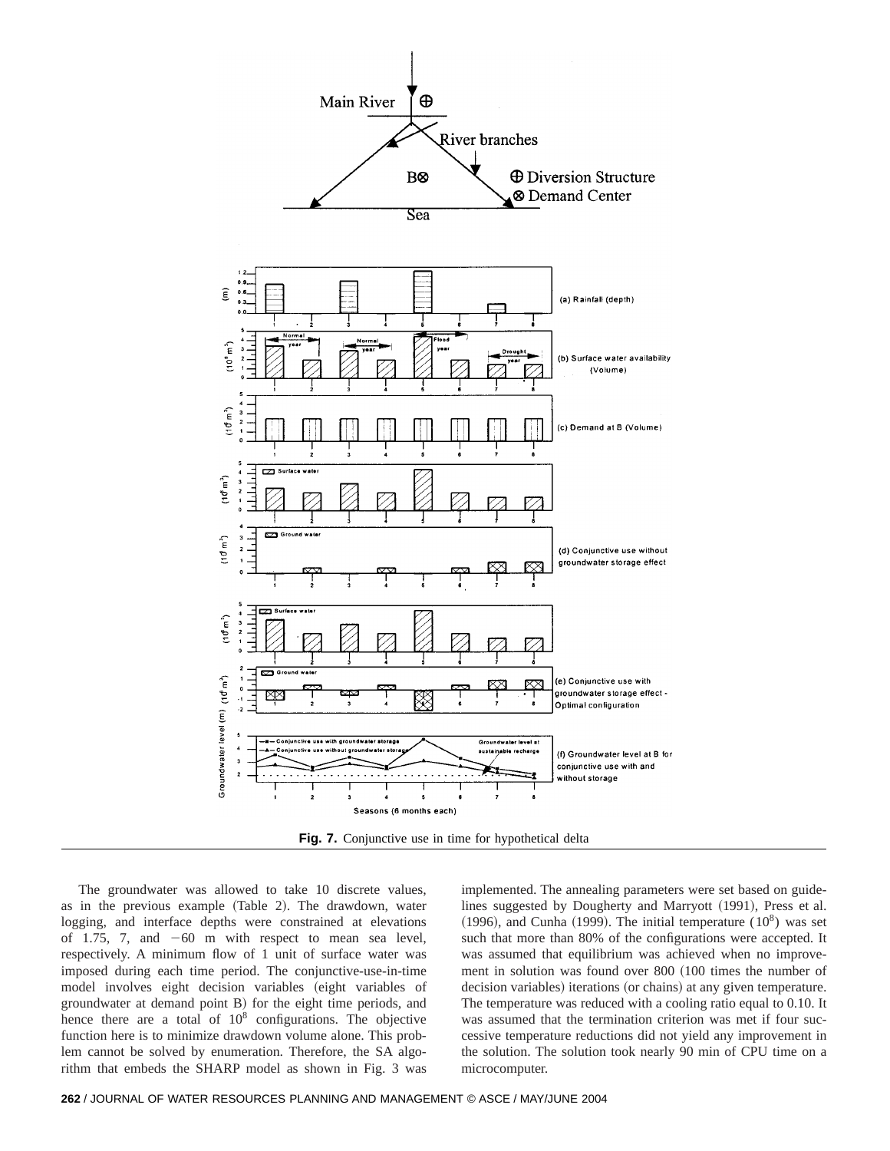

**Fig. 7.** Conjunctive use in time for hypothetical delta

The groundwater was allowed to take 10 discrete values, as in the previous example (Table 2). The drawdown, water logging, and interface depths were constrained at elevations of 1.75, 7, and  $-60$  m with respect to mean sea level, respectively. A minimum flow of 1 unit of surface water was imposed during each time period. The conjunctive-use-in-time model involves eight decision variables (eight variables of groundwater at demand point B) for the eight time periods, and hence there are a total of  $10<sup>8</sup>$  configurations. The objective function here is to minimize drawdown volume alone. This problem cannot be solved by enumeration. Therefore, the SA algorithm that embeds the SHARP model as shown in Fig. 3 was

implemented. The annealing parameters were set based on guidelines suggested by Dougherty and Marryott (1991), Press et al. (1996), and Cunha (1999). The initial temperature  $(10^8)$  was set such that more than 80% of the configurations were accepted. It was assumed that equilibrium was achieved when no improvement in solution was found over 800 (100 times the number of decision variables) iterations (or chains) at any given temperature. The temperature was reduced with a cooling ratio equal to 0.10. It was assumed that the termination criterion was met if four successive temperature reductions did not yield any improvement in the solution. The solution took nearly 90 min of CPU time on a microcomputer.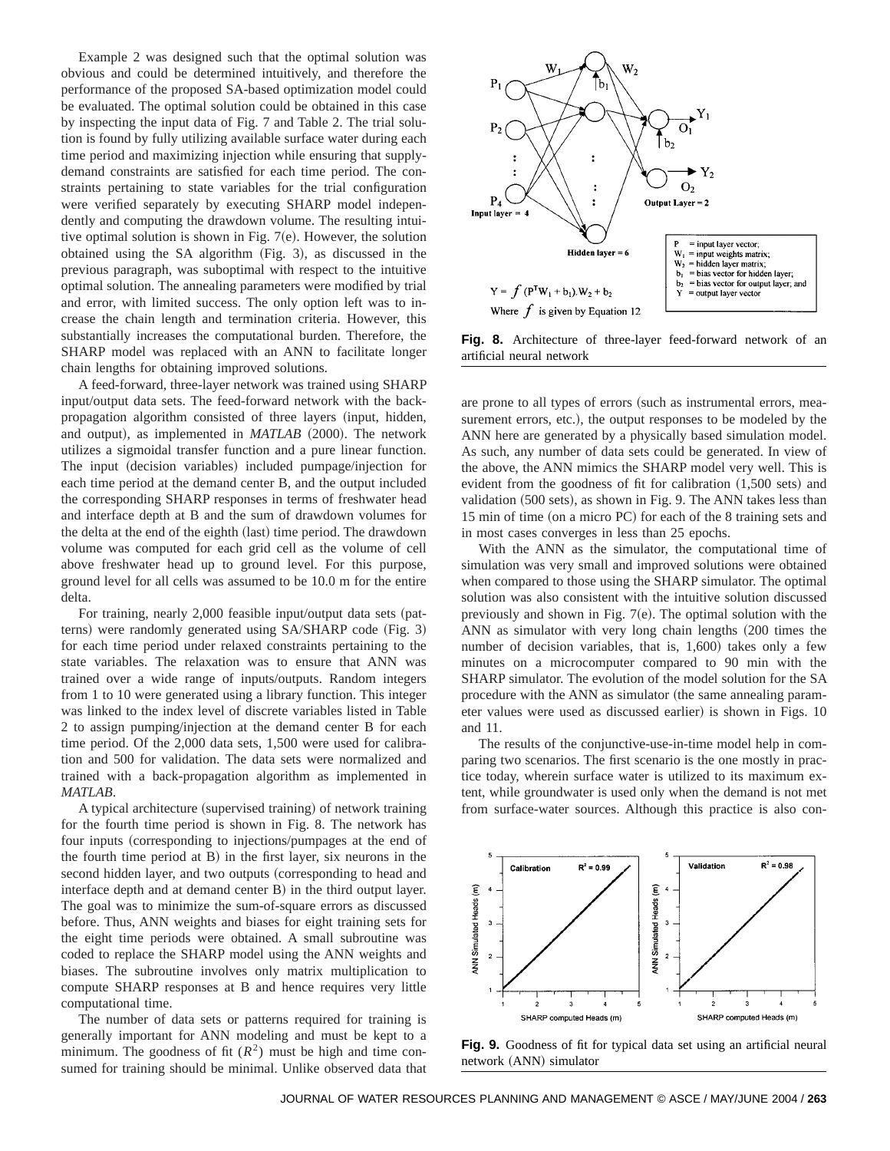Example 2 was designed such that the optimal solution was obvious and could be determined intuitively, and therefore the performance of the proposed SA-based optimization model could be evaluated. The optimal solution could be obtained in this case by inspecting the input data of Fig. 7 and Table 2. The trial solution is found by fully utilizing available surface water during each time period and maximizing injection while ensuring that supplydemand constraints are satisfied for each time period. The constraints pertaining to state variables for the trial configuration were verified separately by executing SHARP model independently and computing the drawdown volume. The resulting intuitive optimal solution is shown in Fig.  $7(e)$ . However, the solution obtained using the SA algorithm  $(Fig. 3)$ , as discussed in the previous paragraph, was suboptimal with respect to the intuitive optimal solution. The annealing parameters were modified by trial and error, with limited success. The only option left was to increase the chain length and termination criteria. However, this substantially increases the computational burden. Therefore, the SHARP model was replaced with an ANN to facilitate longer chain lengths for obtaining improved solutions.

A feed-forward, three-layer network was trained using SHARP input/output data sets. The feed-forward network with the backpropagation algorithm consisted of three layers (input, hidden, and output), as implemented in *MATLAB* (2000). The network utilizes a sigmoidal transfer function and a pure linear function. The input (decision variables) included pumpage/injection for each time period at the demand center B, and the output included the corresponding SHARP responses in terms of freshwater head and interface depth at B and the sum of drawdown volumes for the delta at the end of the eighth (last) time period. The drawdown volume was computed for each grid cell as the volume of cell above freshwater head up to ground level. For this purpose, ground level for all cells was assumed to be 10.0 m for the entire delta.

For training, nearly 2,000 feasible input/output data sets (patterns) were randomly generated using SA/SHARP code (Fig. 3) for each time period under relaxed constraints pertaining to the state variables. The relaxation was to ensure that ANN was trained over a wide range of inputs/outputs. Random integers from 1 to 10 were generated using a library function. This integer was linked to the index level of discrete variables listed in Table 2 to assign pumping/injection at the demand center B for each time period. Of the 2,000 data sets, 1,500 were used for calibration and 500 for validation. The data sets were normalized and trained with a back-propagation algorithm as implemented in *MATLAB*.

A typical architecture (supervised training) of network training for the fourth time period is shown in Fig. 8. The network has four inputs (corresponding to injections/pumpages at the end of the fourth time period at B) in the first layer, six neurons in the second hidden layer, and two outputs (corresponding to head and interface depth and at demand center  $B$ ) in the third output layer. The goal was to minimize the sum-of-square errors as discussed before. Thus, ANN weights and biases for eight training sets for the eight time periods were obtained. A small subroutine was coded to replace the SHARP model using the ANN weights and biases. The subroutine involves only matrix multiplication to compute SHARP responses at B and hence requires very little computational time.

The number of data sets or patterns required for training is generally important for ANN modeling and must be kept to a minimum. The goodness of fit  $(R^2)$  must be high and time consumed for training should be minimal. Unlike observed data that



**Fig. 8.** Architecture of three-layer feed-forward network of an artificial neural network

are prone to all types of errors (such as instrumental errors, measurement errors, etc.), the output responses to be modeled by the ANN here are generated by a physically based simulation model. As such, any number of data sets could be generated. In view of the above, the ANN mimics the SHARP model very well. This is evident from the goodness of fit for calibration  $(1,500 \text{ sets})$  and validation  $(500 \text{ sets})$ , as shown in Fig. 9. The ANN takes less than 15 min of time (on a micro PC) for each of the 8 training sets and in most cases converges in less than 25 epochs.

With the ANN as the simulator, the computational time of simulation was very small and improved solutions were obtained when compared to those using the SHARP simulator. The optimal solution was also consistent with the intuitive solution discussed previously and shown in Fig.  $7(e)$ . The optimal solution with the ANN as simulator with very long chain lengths (200 times the number of decision variables, that is,  $1,600$  takes only a few minutes on a microcomputer compared to 90 min with the SHARP simulator. The evolution of the model solution for the SA procedure with the ANN as simulator (the same annealing parameter values were used as discussed earlier) is shown in Figs. 10 and 11.

The results of the conjunctive-use-in-time model help in comparing two scenarios. The first scenario is the one mostly in practice today, wherein surface water is utilized to its maximum extent, while groundwater is used only when the demand is not met from surface-water sources. Although this practice is also con-



**Fig. 9.** Goodness of fit for typical data set using an artificial neural network (ANN) simulator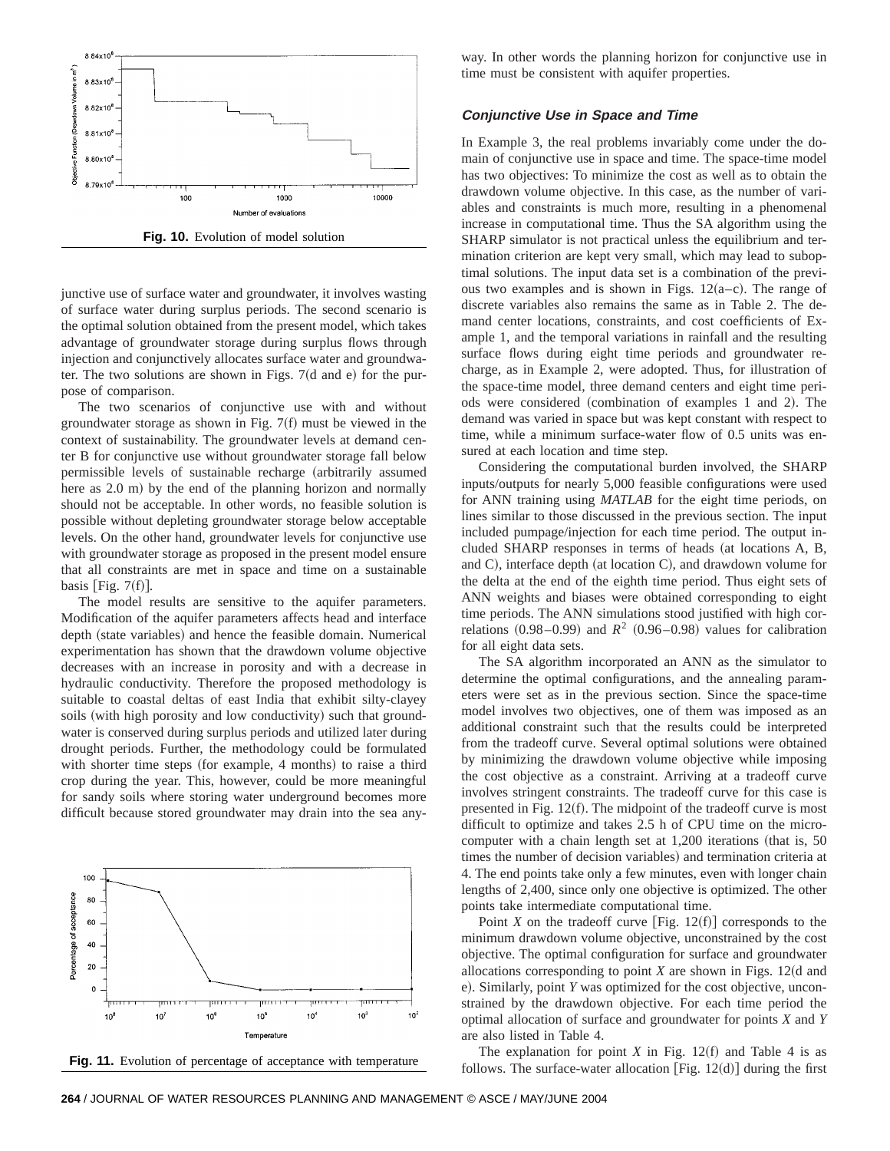

junctive use of surface water and groundwater, it involves wasting of surface water during surplus periods. The second scenario is the optimal solution obtained from the present model, which takes advantage of groundwater storage during surplus flows through injection and conjunctively allocates surface water and groundwater. The two solutions are shown in Figs.  $7(d \text{ and } e)$  for the purpose of comparison.

The two scenarios of conjunctive use with and without groundwater storage as shown in Fig.  $7(f)$  must be viewed in the context of sustainability. The groundwater levels at demand center B for conjunctive use without groundwater storage fall below permissible levels of sustainable recharge (arbitrarily assumed here as  $2.0 \text{ m}$ ) by the end of the planning horizon and normally should not be acceptable. In other words, no feasible solution is possible without depleting groundwater storage below acceptable levels. On the other hand, groundwater levels for conjunctive use with groundwater storage as proposed in the present model ensure that all constraints are met in space and time on a sustainable basis  $[Fig. 7(f)].$ 

The model results are sensitive to the aquifer parameters. Modification of the aquifer parameters affects head and interface depth (state variables) and hence the feasible domain. Numerical experimentation has shown that the drawdown volume objective decreases with an increase in porosity and with a decrease in hydraulic conductivity. Therefore the proposed methodology is suitable to coastal deltas of east India that exhibit silty-clayey soils (with high porosity and low conductivity) such that groundwater is conserved during surplus periods and utilized later during drought periods. Further, the methodology could be formulated with shorter time steps (for example, 4 months) to raise a third crop during the year. This, however, could be more meaningful for sandy soils where storing water underground becomes more difficult because stored groundwater may drain into the sea any-



**Fig. 11.** Evolution of percentage of acceptance with temperature

way. In other words the planning horizon for conjunctive use in time must be consistent with aquifer properties.

#### **Conjunctive Use in Space and Time**

In Example 3, the real problems invariably come under the domain of conjunctive use in space and time. The space-time model has two objectives: To minimize the cost as well as to obtain the drawdown volume objective. In this case, as the number of variables and constraints is much more, resulting in a phenomenal increase in computational time. Thus the SA algorithm using the SHARP simulator is not practical unless the equilibrium and termination criterion are kept very small, which may lead to suboptimal solutions. The input data set is a combination of the previous two examples and is shown in Figs.  $12(a-c)$ . The range of discrete variables also remains the same as in Table 2. The demand center locations, constraints, and cost coefficients of Example 1, and the temporal variations in rainfall and the resulting surface flows during eight time periods and groundwater recharge, as in Example 2, were adopted. Thus, for illustration of the space-time model, three demand centers and eight time periods were considered (combination of examples 1 and 2). The demand was varied in space but was kept constant with respect to time, while a minimum surface-water flow of 0.5 units was ensured at each location and time step.

Considering the computational burden involved, the SHARP inputs/outputs for nearly 5,000 feasible configurations were used for ANN training using *MATLAB* for the eight time periods, on lines similar to those discussed in the previous section. The input included pumpage/injection for each time period. The output included SHARP responses in terms of heads (at locations A, B, and  $C$ ), interface depth (at location  $C$ ), and drawdown volume for the delta at the end of the eighth time period. Thus eight sets of ANN weights and biases were obtained corresponding to eight time periods. The ANN simulations stood justified with high correlations  $(0.98-0.99)$  and  $R^2$   $(0.96-0.98)$  values for calibration for all eight data sets.

The SA algorithm incorporated an ANN as the simulator to determine the optimal configurations, and the annealing parameters were set as in the previous section. Since the space-time model involves two objectives, one of them was imposed as an additional constraint such that the results could be interpreted from the tradeoff curve. Several optimal solutions were obtained by minimizing the drawdown volume objective while imposing the cost objective as a constraint. Arriving at a tradeoff curve involves stringent constraints. The tradeoff curve for this case is presented in Fig.  $12(f)$ . The midpoint of the tradeoff curve is most difficult to optimize and takes 2.5 h of CPU time on the microcomputer with a chain length set at  $1,200$  iterations (that is, 50) times the number of decision variables) and termination criteria at 4. The end points take only a few minutes, even with longer chain lengths of 2,400, since only one objective is optimized. The other points take intermediate computational time.

Point *X* on the tradeoff curve [Fig.  $12(f)$ ] corresponds to the minimum drawdown volume objective, unconstrained by the cost objective. The optimal configuration for surface and groundwater allocations corresponding to point  $X$  are shown in Figs. 12 $(d$  and e). Similarly, point *Y* was optimized for the cost objective, unconstrained by the drawdown objective. For each time period the optimal allocation of surface and groundwater for points *X* and *Y* are also listed in Table 4.

The explanation for point *X* in Fig. 12(f) and Table 4 is as follows. The surface-water allocation [Fig.  $12(d)$ ] during the first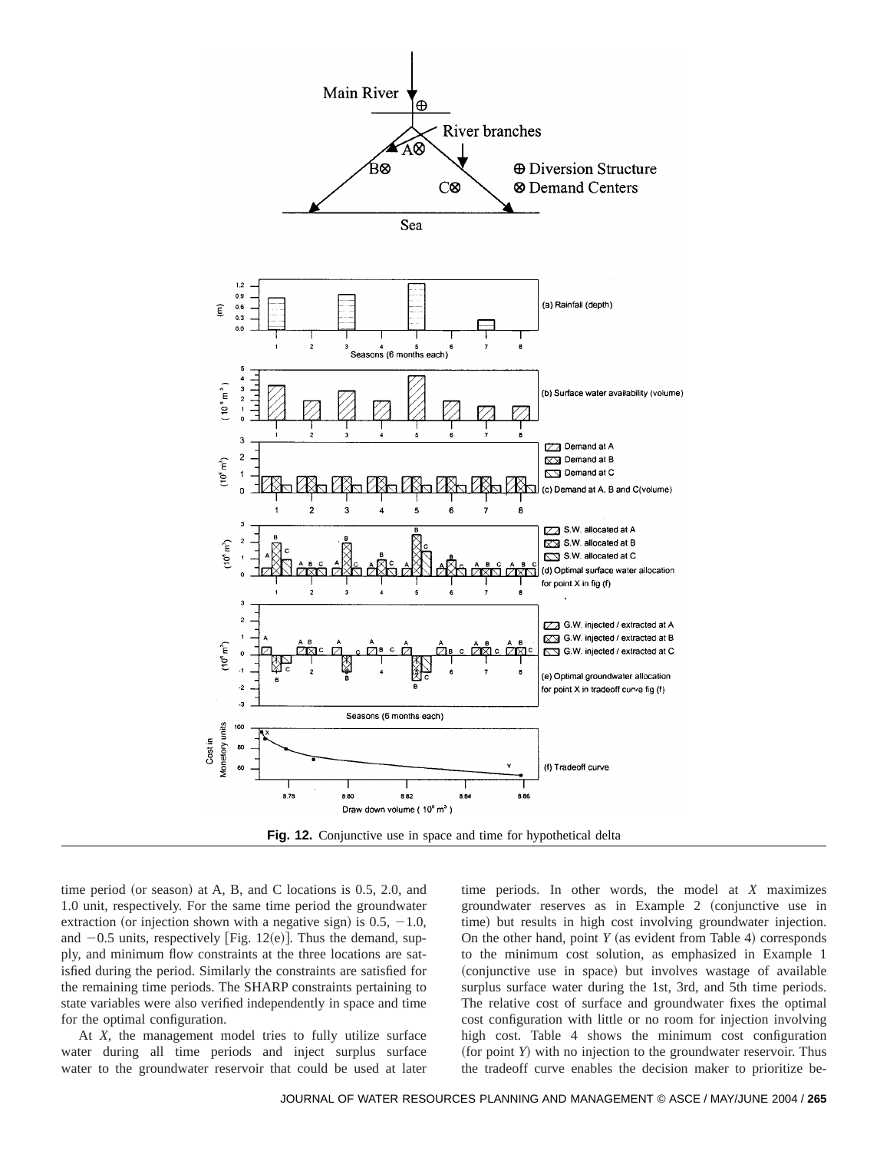

**Fig. 12.** Conjunctive use in space and time for hypothetical delta

time period (or season) at A, B, and C locations is  $0.5$ ,  $2.0$ , and 1.0 unit, respectively. For the same time period the groundwater extraction (or injection shown with a negative sign) is  $0.5, -1.0$ , and  $-0.5$  units, respectively [Fig. 12(e)]. Thus the demand, supply, and minimum flow constraints at the three locations are satisfied during the period. Similarly the constraints are satisfied for the remaining time periods. The SHARP constraints pertaining to state variables were also verified independently in space and time for the optimal configuration.

At *X*, the management model tries to fully utilize surface water during all time periods and inject surplus surface water to the groundwater reservoir that could be used at later time periods. In other words, the model at *X* maximizes groundwater reserves as in Example 2 (conjunctive use in time) but results in high cost involving groundwater injection. On the other hand, point  $Y$  (as evident from Table 4) corresponds to the minimum cost solution, as emphasized in Example 1 (conjunctive use in space) but involves wastage of available surplus surface water during the 1st, 3rd, and 5th time periods. The relative cost of surface and groundwater fixes the optimal cost configuration with little or no room for injection involving high cost. Table 4 shows the minimum cost configuration  $($ for point *Y* $)$  with no injection to the groundwater reservoir. Thus the tradeoff curve enables the decision maker to prioritize be-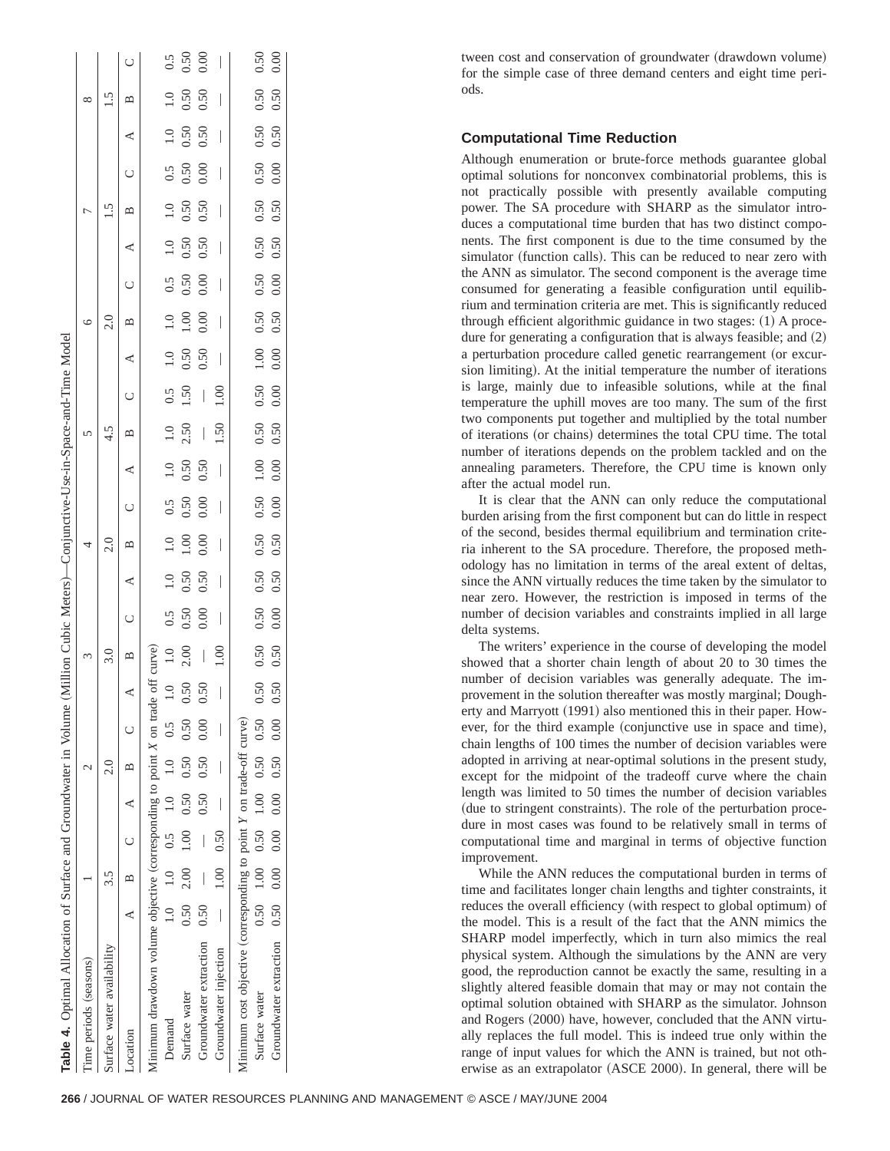| <b>Table 4.</b> Optimal Allocation of Surface and Groundwater in Volume         |      |                                           |                                |                  |      |               |        |      | (Million Cubic Meters)—Conjunctive-Use-in-Space-and-Time Model |                |                 |                                             |                    |                 |           |                    |                          |           |                                             |          |                   |                                                    |
|---------------------------------------------------------------------------------|------|-------------------------------------------|--------------------------------|------------------|------|---------------|--------|------|----------------------------------------------------------------|----------------|-----------------|---------------------------------------------|--------------------|-----------------|-----------|--------------------|--------------------------|-----------|---------------------------------------------|----------|-------------------|----------------------------------------------------|
| ime periods (seasons)                                                           |      |                                           |                                |                  |      |               |        |      |                                                                |                |                 |                                             |                    |                 |           |                    |                          |           |                                             |          | ∝                 |                                                    |
| Surface water availability                                                      |      |                                           |                                |                  |      |               |        |      | $\frac{1}{2}$                                                  |                |                 |                                             |                    |                 |           |                    |                          |           |                                             |          |                   |                                                    |
| ocation                                                                         |      | B A B                                     |                                |                  | ∢    | $\mathbf{r}$  | $\cup$ | ⋖    | $\mathbf{r}$                                                   | $\cup$         | $\triangleleft$ | $\approx$                                   | $\circ$            | $\triangleleft$ | $\approx$ |                    | ⋖                        | $\approx$ | $\cup$                                      | ⋖        | $\mathbf{\Omega}$ | $\cup$                                             |
| Minimum drawdown volume objective (corresponding to point X on trade off curve) |      |                                           |                                |                  |      |               |        |      |                                                                |                |                 |                                             |                    |                 |           |                    |                          |           |                                             |          |                   |                                                    |
| Demand                                                                          |      | $1.0$ 1.0 0.5 1.0 1.0 0.5                 |                                |                  |      | $1.0$ 1.0     | 0.5    | 1.0  | 1.0                                                            |                | 1.0             | 1.0                                         | $\widetilde{0}$ .5 | 1.0             | 1.0       | $\widetilde{c}$ :0 | 1.0                      | 1.0       | $\overline{0.5}$                            | 1.0      | 1.0               |                                                    |
| Surface water                                                                   |      | $0.50$ $2.00$ $1.00$ $0.50$ $0.50$ $0.50$ |                                |                  | 0.50 | 2.00          | 0.50   | 0.50 | $1.00\,$                                                       | $0.50$<br>0.50 | 0.50            | 2.50                                        | 1.50               | 0.50            | 1.00      | 0.50               | 0.50                     | 0.50      | 0.50                                        | $0.50\,$ | 0.50              | $\begin{array}{c} 0.5 \\ 0.50 \\ 0.00 \end{array}$ |
| Groundwater extraction                                                          | 0.50 |                                           |                                | $0.50$ 0.50 0.00 | 0.50 |               | 0.00   | 0.50 | 0.00                                                           | 0.00           | 0.50            | $\overline{\phantom{a}}$                    | $\bigg $           | 0.50            | 0.00      | 0.00               | 0.50                     | 0.50      | 0.00                                        | 0.50     | 0.50              |                                                    |
| Groundwater injection                                                           |      | $-1.00$ 0.50                              | $\begin{array}{c} \end{array}$ |                  |      | $\frac{8}{1}$ |        |      |                                                                |                |                 | 1.50                                        | 1.00               |                 |           |                    |                          |           |                                             |          |                   |                                                    |
| Minimum cost objective (corresponding to point Y on trade-off curve)            |      |                                           |                                |                  |      |               |        |      |                                                                |                |                 |                                             |                    |                 |           |                    |                          |           |                                             |          |                   |                                                    |
| Surface water                                                                   |      | $0.50$ 1.00 0.50 1.00 0.50 0.50           |                                |                  |      | $0.50$ 0.50   | 0.50   | 0.50 | 0.50                                                           | 0.50           | 1.00            |                                             | 0.50               | 1.00            | 0.50      | 0.50               |                          |           |                                             | 0.50     | 0.50              |                                                    |
| Groundwater extraction 0.50 0.00 0.00 0.00 0.50 0.00                            |      |                                           |                                |                  |      | $0.50$ $0.50$ | 0.00   | 0.50 | 0.50                                                           | 0.00           | 0.00            | $\begin{array}{c} 0.50 \\ 0.50 \end{array}$ | 0.00               | 0.00            | 0.50      | 0.00               | $0.50$ 0.50<br>0.50 0.50 |           | $\begin{array}{c} 0.50 \\ 0.00 \end{array}$ | 0.50     | 0.50              | $0.50$<br>$0.00$                                   |
|                                                                                 |      |                                           |                                |                  |      |               |        |      |                                                                |                |                 |                                             |                    |                 |           |                    |                          |           |                                             |          |                   |                                                    |

tween cost and conservation of groundwater (drawdown volume) for the simple case of three demand centers and eight time periods.

#### **Computational Time Reduction**

Although enumeration or brute-force methods guarantee global optimal solutions for nonconvex combinatorial problems, this is not practically possible with presently available computing power. The SA procedure with SHARP as the simulator introduces a computational time burden that has two distinct components. The first component is due to the time consumed by the simulator (function calls). This can be reduced to near zero with the ANN as simulator. The second component is the average time consumed for generating a feasible configuration until equilibrium and termination criteria are met. This is significantly reduced through efficient algorithmic guidance in two stages:  $(1)$  A procedure for generating a configuration that is always feasible; and  $(2)$ a perturbation procedure called genetic rearrangement (or excursion limiting). At the initial temperature the number of iterations is large, mainly due to infeasible solutions, while at the final temperature the uphill moves are too many. The sum of the first two components put together and multiplied by the total number of iterations (or chains) determines the total CPU time. The total number of iterations depends on the problem tackled and on the annealing parameters. Therefore, the CPU time is known only after the actual model run.

It is clear that the ANN can only reduce the computational burden arising from the first component but can do little in respect of the second, besides thermal equilibrium and termination criteria inherent to the SA procedure. Therefore, the proposed methodology has no limitation in terms of the areal extent of deltas, since the ANN virtually reduces the time taken by the simulator to near zero. However, the restriction is imposed in terms of the number of decision variables and constraints implied in all large delta systems.

The writers' experience in the course of developing the model showed that a shorter chain length of about 20 to 30 times the number of decision variables was generally adequate. The improvement in the solution thereafter was mostly marginal; Dougherty and Marryott (1991) also mentioned this in their paper. However, for the third example (conjunctive use in space and time), chain lengths of 100 times the number of decision variables were adopted in arriving at near-optimal solutions in the present study, except for the midpoint of the tradeoff curve where the chain length was limited to 50 times the number of decision variables (due to stringent constraints). The role of the perturbation procedure in most cases was found to be relatively small in terms of computational time and marginal in terms of objective function improvement.

While the ANN reduces the computational burden in terms of time and facilitates longer chain lengths and tighter constraints, it reduces the overall efficiency (with respect to global optimum) of the model. This is a result of the fact that the ANN mimics the SHARP model imperfectly, which in turn also mimics the real physical system. Although the simulations by the ANN are very good, the reproduction cannot be exactly the same, resulting in a slightly altered feasible domain that may or may not contain the optimal solution obtained with SHARP as the simulator. Johnson and Rogers (2000) have, however, concluded that the ANN virtually replaces the full model. This is indeed true only within the range of input values for which the ANN is trained, but not otherwise as an extrapolator (ASCE 2000). In general, there will be